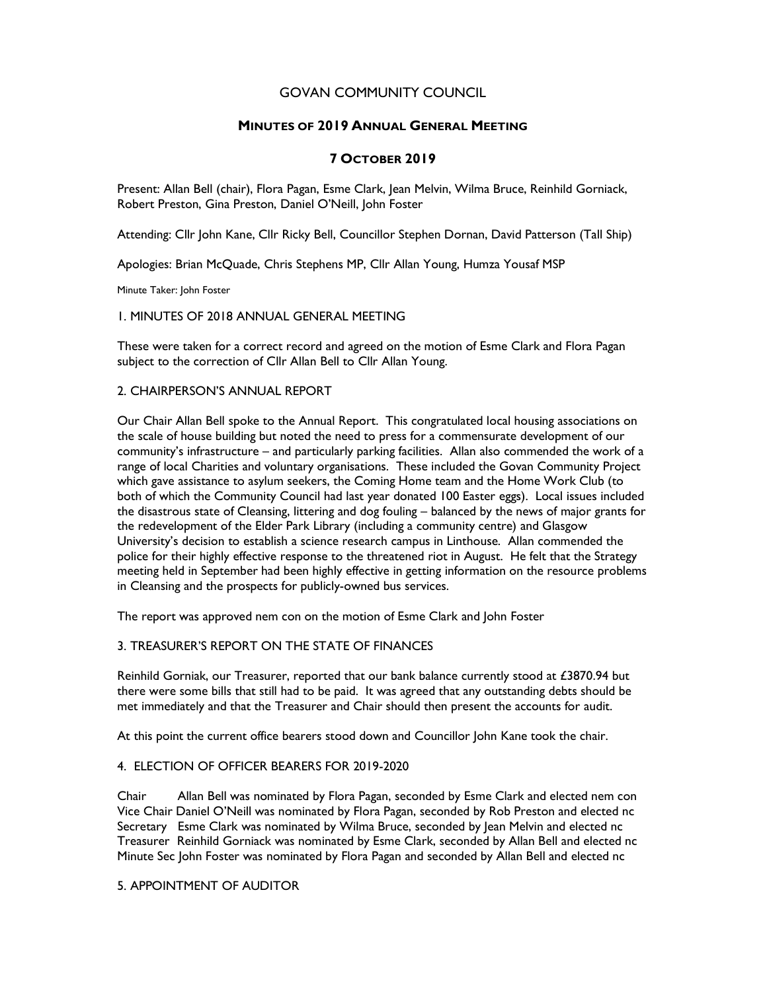## GOVAN COMMUNITY COUNCIL

## MINUTES OF 2019 ANNUAL GENERAL MEETING

# 7 OCTOBER 2019

Present: Allan Bell (chair), Flora Pagan, Esme Clark, Jean Melvin, Wilma Bruce, Reinhild Gorniack, Robert Preston, Gina Preston, Daniel O'Neill, John Foster

Attending: Cllr John Kane, Cllr Ricky Bell, Councillor Stephen Dornan, David Patterson (Tall Ship)

Apologies: Brian McQuade, Chris Stephens MP, Cllr Allan Young, Humza Yousaf MSP

Minute Taker: John Foster

1. MINUTES OF 2018 ANNUAL GENERAL MEETING

These were taken for a correct record and agreed on the motion of Esme Clark and Flora Pagan subject to the correction of Cllr Allan Bell to Cllr Allan Young.

#### 2. CHAIRPERSON'S ANNUAL REPORT

Our Chair Allan Bell spoke to the Annual Report. This congratulated local housing associations on the scale of house building but noted the need to press for a commensurate development of our community's infrastructure – and particularly parking facilities. Allan also commended the work of a range of local Charities and voluntary organisations. These included the Govan Community Project which gave assistance to asylum seekers, the Coming Home team and the Home Work Club (to both of which the Community Council had last year donated 100 Easter eggs). Local issues included the disastrous state of Cleansing, littering and dog fouling – balanced by the news of major grants for the redevelopment of the Elder Park Library (including a community centre) and Glasgow University's decision to establish a science research campus in Linthouse. Allan commended the police for their highly effective response to the threatened riot in August. He felt that the Strategy meeting held in September had been highly effective in getting information on the resource problems in Cleansing and the prospects for publicly-owned bus services.

The report was approved nem con on the motion of Esme Clark and John Foster

#### 3. TREASURER'S REPORT ON THE STATE OF FINANCES

Reinhild Gorniak, our Treasurer, reported that our bank balance currently stood at £3870.94 but there were some bills that still had to be paid. It was agreed that any outstanding debts should be met immediately and that the Treasurer and Chair should then present the accounts for audit.

At this point the current office bearers stood down and Councillor John Kane took the chair.

#### 4. ELECTION OF OFFICER BEARERS FOR 2019-2020

Chair Allan Bell was nominated by Flora Pagan, seconded by Esme Clark and elected nem con Vice Chair Daniel O'Neill was nominated by Flora Pagan, seconded by Rob Preston and elected nc Secretary Esme Clark was nominated by Wilma Bruce, seconded by Jean Melvin and elected nc Treasurer Reinhild Gorniack was nominated by Esme Clark, seconded by Allan Bell and elected nc Minute Sec John Foster was nominated by Flora Pagan and seconded by Allan Bell and elected nc

#### 5. APPOINTMENT OF AUDITOR